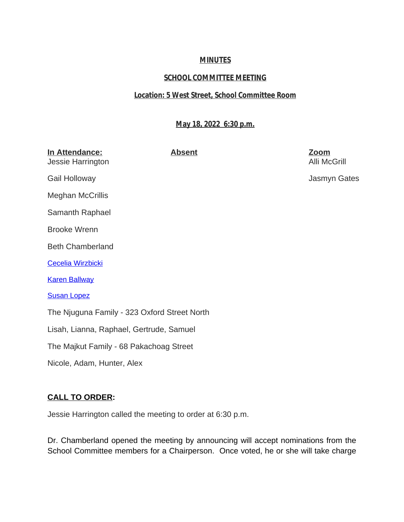## **MINUTES**

# **SCHOOL COMMITTEE MEETING**

### **Location: 5 West Street, School Committee Room**

### **May 18, 2022 6:30 p.m.**

| In Attendance:<br>Jessie Harrington          | <b>Absent</b> | <u>Zoom</u><br><b>Alli McGrill</b> |
|----------------------------------------------|---------------|------------------------------------|
| Gail Holloway                                |               | Jasmyn Gates                       |
| <b>Meghan McCrillis</b>                      |               |                                    |
| Samanth Raphael                              |               |                                    |
| <b>Brooke Wrenn</b>                          |               |                                    |
| <b>Beth Chamberland</b>                      |               |                                    |
| Cecelia Wirzbicki                            |               |                                    |
| <b>Karen Ballway</b>                         |               |                                    |
| <b>Susan Lopez</b>                           |               |                                    |
| The Njuguna Family - 323 Oxford Street North |               |                                    |
| Lisah, Lianna, Raphael, Gertrude, Samuel     |               |                                    |
| The Majkut Family - 68 Pakachoag Street      |               |                                    |
| Nicole, Adam, Hunter, Alex                   |               |                                    |

## **CALL TO ORDER:**

Jessie Harrington called the meeting to order at 6:30 p.m.

Dr. Chamberland opened the meeting by announcing will accept nominations from the School Committee members for a Chairperson. Once voted, he or she will take charge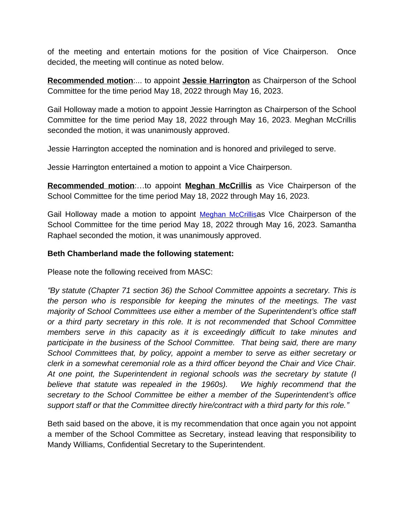of the meeting and entertain motions for the position of Vice Chairperson. Once decided, the meeting will continue as noted below.

**Recommended motion**:... to appoint **Jessie Harrington** as Chairperson of the School Committee for the time period May 18, 2022 through May 16, 2023.

Gail Holloway made a motion to appoint Jessie Harrington as Chairperson of the School Committee for the time period May 18, 2022 through May 16, 2023. Meghan McCrillis seconded the motion, it was unanimously approved.

Jessie Harrington accepted the nomination and is honored and privileged to serve.

Jessie Harrington entertained a motion to appoint a Vice Chairperson.

**Recommended motion**:…to appoint **Meghan McCrillis** as Vice Chairperson of the School Committee for the time period May 18, 2022 through May 16, 2023.

Gail Holloway made a motion to appoint [Meghan McCrillis](mailto:meghanmccrillis@gmail.com)as VIce Chairperson of the School Committee for the time period May 18, 2022 through May 16, 2023. Samantha Raphael seconded the motion, it was unanimously approved.

### **Beth Chamberland made the following statement:**

Please note the following received from MASC:

*"By statute (Chapter 71 section 36) the School Committee appoints a secretary. This is the person who is responsible for keeping the minutes of the meetings. The vast majority of School Committees use either a member of the Superintendent's office staff or a third party secretary in this role. It is not recommended that School Committee members serve in this capacity as it is exceedingly difficult to take minutes and participate in the business of the School Committee. That being said, there are many School Committees that, by policy, appoint a member to serve as either secretary or clerk in a somewhat ceremonial role as a third officer beyond the Chair and Vice Chair. At one point, the Superintendent in regional schools was the secretary by statute (I believe that statute was repealed in the 1960s). We highly recommend that the secretary to the School Committee be either a member of the Superintendent's office support staff or that the Committee directly hire/contract with a third party for this role."*

Beth said based on the above, it is my recommendation that once again you not appoint a member of the School Committee as Secretary, instead leaving that responsibility to Mandy Williams, Confidential Secretary to the Superintendent.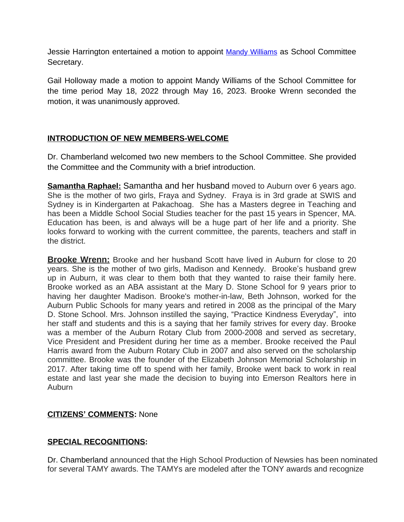Jessie Harrington entertained a motion to appoint [Mandy Williams](mailto:mwilliams@auburn.k12.ma.us) as School Committee Secretary.

Gail Holloway made a motion to appoint Mandy Williams of the School Committee for the time period May 18, 2022 through May 16, 2023. Brooke Wrenn seconded the motion, it was unanimously approved.

## **INTRODUCTION OF NEW MEMBERS-WELCOME**

Dr. Chamberland welcomed two new members to the School Committee. She provided the Committee and the Community with a brief introduction.

**Samantha Raphael:** Samantha and her husband moved to Auburn over 6 years ago. She is the mother of two girls, Fraya and Sydney. Fraya is in 3rd grade at SWIS and Sydney is in Kindergarten at Pakachoag. She has a Masters degree in Teaching and has been a Middle School Social Studies teacher for the past 15 years in Spencer, MA. Education has been, is and always will be a huge part of her life and a priority. She looks forward to working with the current committee, the parents, teachers and staff in the district.

**Brooke Wrenn:** Brooke and her husband Scott have lived in Auburn for close to 20 years. She is the mother of two girls, Madison and Kennedy. Brooke's husband grew up in Auburn, it was clear to them both that they wanted to raise their family here. Brooke worked as an ABA assistant at the Mary D. Stone School for 9 years prior to having her daughter Madison. Brooke's mother-in-law, Beth Johnson, worked for the Auburn Public Schools for many years and retired in 2008 as the principal of the Mary D. Stone School. Mrs. Johnson instilled the saying, "Practice Kindness Everyday", into her staff and students and this is a saying that her family strives for every day. Brooke was a member of the Auburn Rotary Club from 2000-2008 and served as secretary, Vice President and President during her time as a member. Brooke received the Paul Harris award from the Auburn Rotary Club in 2007 and also served on the scholarship committee. Brooke was the founder of the Elizabeth Johnson Memorial Scholarship in 2017. After taking time off to spend with her family, Brooke went back to work in real estate and last year she made the decision to buying into Emerson Realtors here in Auburn

## **CITIZENS' COMMENTS:** None

## **SPECIAL RECOGNITIONS:**

Dr. Chamberland announced that the High School Production of Newsies has been nominated for several TAMY awards. The TAMYs are modeled after the TONY awards and recognize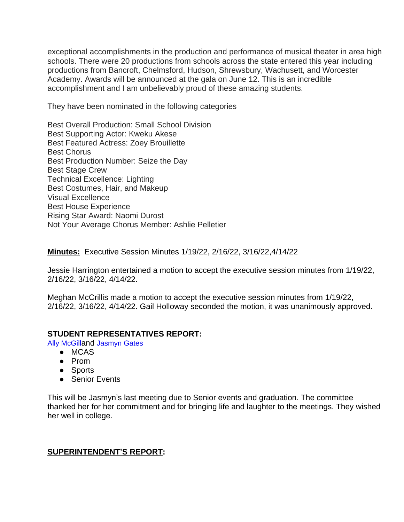exceptional accomplishments in the production and performance of musical theater in area high schools. There were 20 productions from schools across the state entered this year including productions from Bancroft, Chelmsford, Hudson, Shrewsbury, Wachusett, and Worcester Academy. Awards will be announced at the gala on June 12. This is an incredible accomplishment and I am unbelievably proud of these amazing students.

They have been nominated in the following categories

Best Overall Production: Small School Division Best Supporting Actor: Kweku Akese Best Featured Actress: Zoey Brouillette Best Chorus Best Production Number: Seize the Day Best Stage Crew Technical Excellence: Lighting Best Costumes, Hair, and Makeup Visual Excellence Best House Experience Rising Star Award: Naomi Durost Not Your Average Chorus Member: Ashlie Pelletier

**Minutes:** Executive Session Minutes 1/19/22, 2/16/22, 3/16/22,4/14/22

Jessie Harrington entertained a motion to accept the executive session minutes from 1/19/22, 2/16/22, 3/16/22, 4/14/22.

Meghan McCrillis made a motion to accept the executive session minutes from 1/19/22, 2/16/22, 3/16/22, 4/14/22. Gail Holloway seconded the motion, it was unanimously approved.

## **STUDENT REPRESENTATIVES REPORT:**

[Ally McGill](mailto:amcgill23@auburn.k12.ma.us)[and](mailto:amcgill23@auburn.k12.ma.us) [Jasmyn Gates](mailto:jgates22@auburn.k12.ma.us)

- MCAS
- Prom
- Sports
- Senior Events

This will be Jasmyn's last meeting due to Senior events and graduation. The committee thanked her for her commitment and for bringing life and laughter to the meetings. They wished her well in college.

### **SUPERINTENDENT'S REPORT:**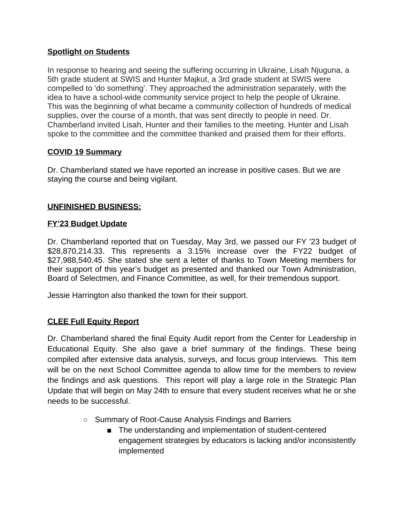## **Spotlight on Students**

In response to hearing and seeing the suffering occurring in Ukraine, Lisah Njuguna, a 5th grade student at SWIS and Hunter Majkut, a 3rd grade student at SWIS were compelled to 'do something'. They approached the administration separately, with the idea to have a school-wide community service project to help the people of Ukraine. This was the beginning of what became a community collection of hundreds of medical supplies, over the course of a month, that was sent directly to people in need. Dr. Chamberland invited Lisah, Hunter and their families to the meeting. Hunter and Lisah spoke to the committee and the committee thanked and praised them for their efforts.

## **COVID 19 Summary**

Dr. Chamberland stated we have reported an increase in positive cases. But we are staying the course and being vigilant.

## **UNFINISHED BUSINESS:**

### **FY'23 Budget Update**

Dr. Chamberland reported that on Tuesday, May 3rd, we passed our FY '23 budget of \$28,870,214.33. This represents a 3.15% increase over the FY22 budget of \$27,988,540.45. She stated she sent a letter of thanks to Town Meeting members for their support of this year's budget as presented and thanked our Town Administration, Board of Selectmen, and Finance Committee, as well, for their tremendous support.

Jessie Harrington also thanked the town for their support.

## **CLEE Full Equity Report**

Dr. Chamberland shared the final Equity Audit report from the Center for Leadership in Educational Equity. She also gave a brief summary of the findings. These being compiled after extensive data analysis, surveys, and focus group interviews. This item will be on the next School Committee agenda to allow time for the members to review the findings and ask questions. This report will play a large role in the Strategic Plan Update that will begin on May 24th to ensure that every student receives what he or she needs to be successful.

- Summary of Root-Cause Analysis Findings and Barriers
	- The understanding and implementation of student-centered engagement strategies by educators is lacking and/or inconsistently implemented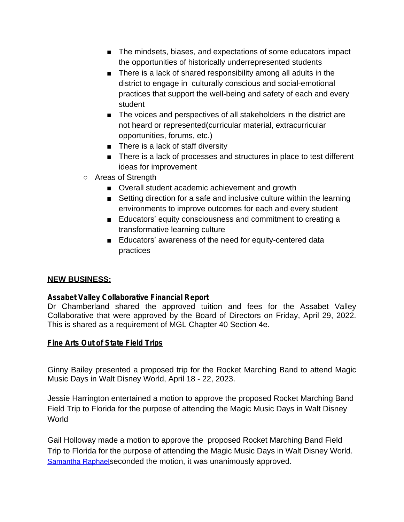- The mindsets, biases, and expectations of some educators impact the opportunities of historically underrepresented students
- There is a lack of shared responsibility among all adults in the district to engage in culturally conscious and social-emotional practices that support the well-being and safety of each and every student
- The voices and perspectives of all stakeholders in the district are not heard or represented(curricular material, extracurricular opportunities, forums, etc.)
- There is a lack of staff diversity
- There is a lack of processes and structures in place to test different ideas for improvement
- Areas of Strength
	- Overall student academic achievement and growth
	- Setting direction for a safe and inclusive culture within the learning environments to improve outcomes for each and every student
	- Educators' equity consciousness and commitment to creating a transformative learning culture
	- Educators' awareness of the need for equity-centered data practices

## **NEW BUSINESS:**

### **Assabet Valley Collaborative Financial Report**

Dr Chamberland shared the approved tuition and fees for the Assabet Valley Collaborative that were approved by the Board of Directors on Friday, April 29, 2022. This is shared as a requirement of MGL Chapter 40 Section 4e.

### **Fine Arts Out of State Field Trips**

Ginny Bailey presented a proposed trip for the Rocket Marching Band to attend Magic Music Days in Walt Disney World, April 18 - 22, 2023.

Jessie Harrington entertained a motion to approve the proposed Rocket Marching Band Field Trip to Florida for the purpose of attending the Magic Music Days in Walt Disney World

Gail Holloway made a motion to approve the proposed Rocket Marching Band Field Trip to Florida for the purpose of attending the Magic Music Days in Walt Disney World. [Samantha Raphael](mailto:samantha.raphael@gmail.com)[seconded the motion, it was unanimously approved.](mailto:samantha.raphael@gmail.com)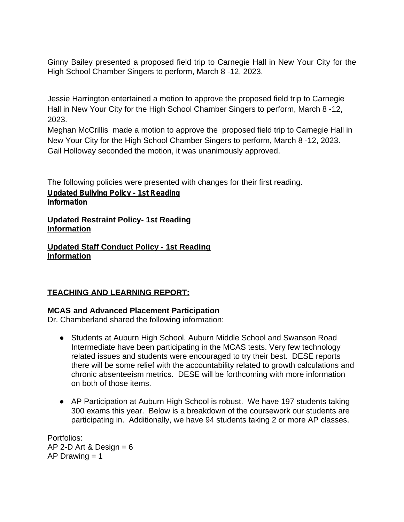Ginny Bailey presented a proposed field trip to Carnegie Hall in New Your City for the High School Chamber Singers to perform, March 8 -12, 2023.

Jessie Harrington entertained a motion to approve the proposed field trip to Carnegie Hall in New Your City for the High School Chamber Singers to perform, March 8 -12, 2023.

Meghan McCrillis made a motion to approve the proposed field trip to Carnegie Hall in New Your City for the High School Chamber Singers to perform, March 8 -12, 2023. Gail Holloway seconded the motion, it was unanimously approved.

The following policies were presented with changes for their first reading. **Updated Bullying Policy - 1st Reading Information**

**Updated Restraint Policy- 1st Reading Information**

**Updated Staff Conduct Policy - 1st Reading Information**

## **TEACHING AND LEARNING REPORT:**

## **MCAS and Advanced Placement Participation**

Dr. Chamberland shared the following information:

- Students at Auburn High School, Auburn Middle School and Swanson Road Intermediate have been participating in the MCAS tests. Very few technology related issues and students were encouraged to try their best. DESE reports there will be some relief with the accountability related to growth calculations and chronic absenteeism metrics. DESE will be forthcoming with more information on both of those items.
- AP Participation at Auburn High School is robust. We have 197 students taking 300 exams this year. Below is a breakdown of the coursework our students are participating in. Additionally, we have 94 students taking 2 or more AP classes.

Portfolios: AP 2-D Art & Design  $= 6$ AP Drawing  $= 1$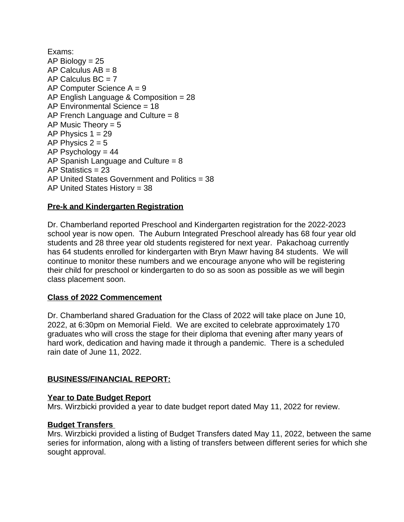Exams:  $AP$  Biology = 25 AP Calculus  $AB = 8$ AP Calculus  $BC = 7$ AP Computer Science  $A = 9$ AP English Language & Composition = 28 AP Environmental Science = 18 AP French Language and Culture  $= 8$ AP Music Theory  $= 5$ AP Physics  $1 = 29$ AP Physics  $2 = 5$ AP Psychology  $= 44$ AP Spanish Language and Culture = 8 AP Statistics = 23 AP United States Government and Politics = 38 AP United States History = 38

## **Pre-k and Kindergarten Registration**

Dr. Chamberland reported Preschool and Kindergarten registration for the 2022-2023 school year is now open. The Auburn Integrated Preschool already has 68 four year old students and 28 three year old students registered for next year. Pakachoag currently has 64 students enrolled for kindergarten with Bryn Mawr having 84 students. We will continue to monitor these numbers and we encourage anyone who will be registering their child for preschool or kindergarten to do so as soon as possible as we will begin class placement soon.

### **Class of 2022 Commencement**

Dr. Chamberland shared Graduation for the Class of 2022 will take place on June 10, 2022, at 6:30pm on Memorial Field. We are excited to celebrate approximately 170 graduates who will cross the stage for their diploma that evening after many years of hard work, dedication and having made it through a pandemic. There is a scheduled rain date of June 11, 2022.

### **BUSINESS/FINANCIAL REPORT:**

#### **Year to Date Budget Report**

Mrs. Wirzbicki provided a year to date budget report dated May 11, 2022 for review.

#### **Budget Transfers**

Mrs. Wirzbicki provided a listing of Budget Transfers dated May 11, 2022, between the same series for information, along with a listing of transfers between different series for which she sought approval.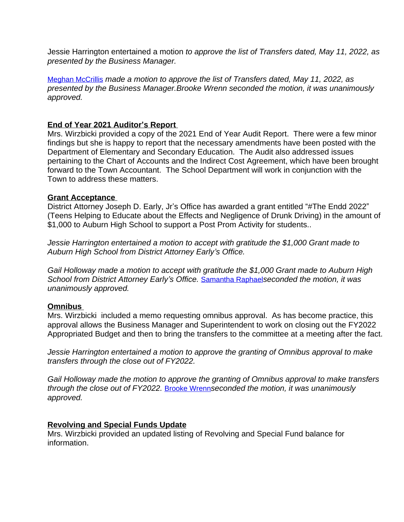Jessie Harrington entertained a motion *to approve the list of Transfers dated, May 11, 2022, as presented by the Business Manager.*

[Meghan McCrillis](mailto:meghanmccrillis@gmail.com) *[made a motion to approve the list of Transfers dated, May 11, 2022, as](mailto:meghanmccrillis@gmail.com)  [presented by the Business Manager.Brooke Wrenn seconded the motion, it was unanimously](mailto:meghanmccrillis@gmail.com)  [approved.](mailto:meghanmccrillis@gmail.com)* 

#### **[End of Year 2021 Auditor](mailto:meghanmccrillis@gmail.com)'s Report**

[Mrs. Wirzbicki provided a copy of the 2021 End of Year Audit Report. There were a few minor](mailto:meghanmccrillis@gmail.com)  [findings but she is happy to report that the necessary amendments have been posted with the](mailto:meghanmccrillis@gmail.com)  [Department of Elementary and Secondary Education. The Audit also addressed issues](mailto:meghanmccrillis@gmail.com)  [pertaining to the Chart of Accounts and the Indirect Cost Agreement, which have been brought](mailto:meghanmccrillis@gmail.com)  [forward to the Town Accountant. The School Department will work in conjunction with the](mailto:meghanmccrillis@gmail.com)  [Town to address these matters.](mailto:meghanmccrillis@gmail.com)

#### **[Grant Acceptance](mailto:meghanmccrillis@gmail.com)**

District Attorney Joseph D. Early, Jr'[s Office has awarded a grant entitled](mailto:meghanmccrillis@gmail.com) "#The [Endd 2022](mailto:meghanmccrillis@gmail.com)" [\(Teens Helping to Educate about the Effects and Negligence of Drunk Driving\) in the amount of](mailto:meghanmccrillis@gmail.com)  [\\$1,000 to Auburn High School to support a Post Prom Activity for students..](mailto:meghanmccrillis@gmail.com)

*[Jessie Harrington entertained a motion](mailto:meghanmccrillis@gmail.com) [to accept with gratitude the \\$1,000 Grant made to](mailto:meghanmccrillis@gmail.com)  [Auburn High School from District Attorney Early](mailto:meghanmccrillis@gmail.com)'s Office.*

*[Gail Holloway made a motion to accept with gratitude the \\$1,000 Grant made to Auburn High](mailto:meghanmccrillis@gmail.com)  [School from District Attorney Early](mailto:meghanmccrillis@gmail.com)'s Office.* [Samantha Raphael](mailto:samantha.raphael@gmail.com)*[seconded the motion, it was](mailto:samantha.raphael@gmail.com)  [unanimously approved.](mailto:samantha.raphael@gmail.com)* 

#### **[Omnibus](mailto:samantha.raphael@gmail.com)**

[Mrs. Wirzbicki included a memo requesting omnibus approval. As has become practice, this](mailto:samantha.raphael@gmail.com)  [approval allows the Business Manager and Superintendent to work on closing out the FY2022](mailto:samantha.raphael@gmail.com)  [Appropriated Budget and then to bring the transfers to the committee at a meeting after the fact.](mailto:samantha.raphael@gmail.com)

*[Jessie Harrington entertained a motion](mailto:samantha.raphael@gmail.com) [to approve the granting of Omnibus approval to make](mailto:samantha.raphael@gmail.com)  [transfers through the close out of FY2022.](mailto:samantha.raphael@gmail.com)*

*[Gail Holloway made the motion to approve the granting of Omnibus approval to make transfers](mailto:samantha.raphael@gmail.com)  [through the close out of FY2022.](mailto:samantha.raphael@gmail.com)* [Brooke Wrenn](mailto:brooke@kennedyhomesrealty.com)*[seconded the motion, it was unanimously](mailto:brooke@kennedyhomesrealty.com)  [approved.](mailto:brooke@kennedyhomesrealty.com)* 

#### **[Revolving and Special Funds Update](mailto:brooke@kennedyhomesrealty.com)**

[Mrs. Wirzbicki provided an updated listing of Revolving and Special Fund balance for](mailto:brooke@kennedyhomesrealty.com)  [information.](mailto:brooke@kennedyhomesrealty.com)